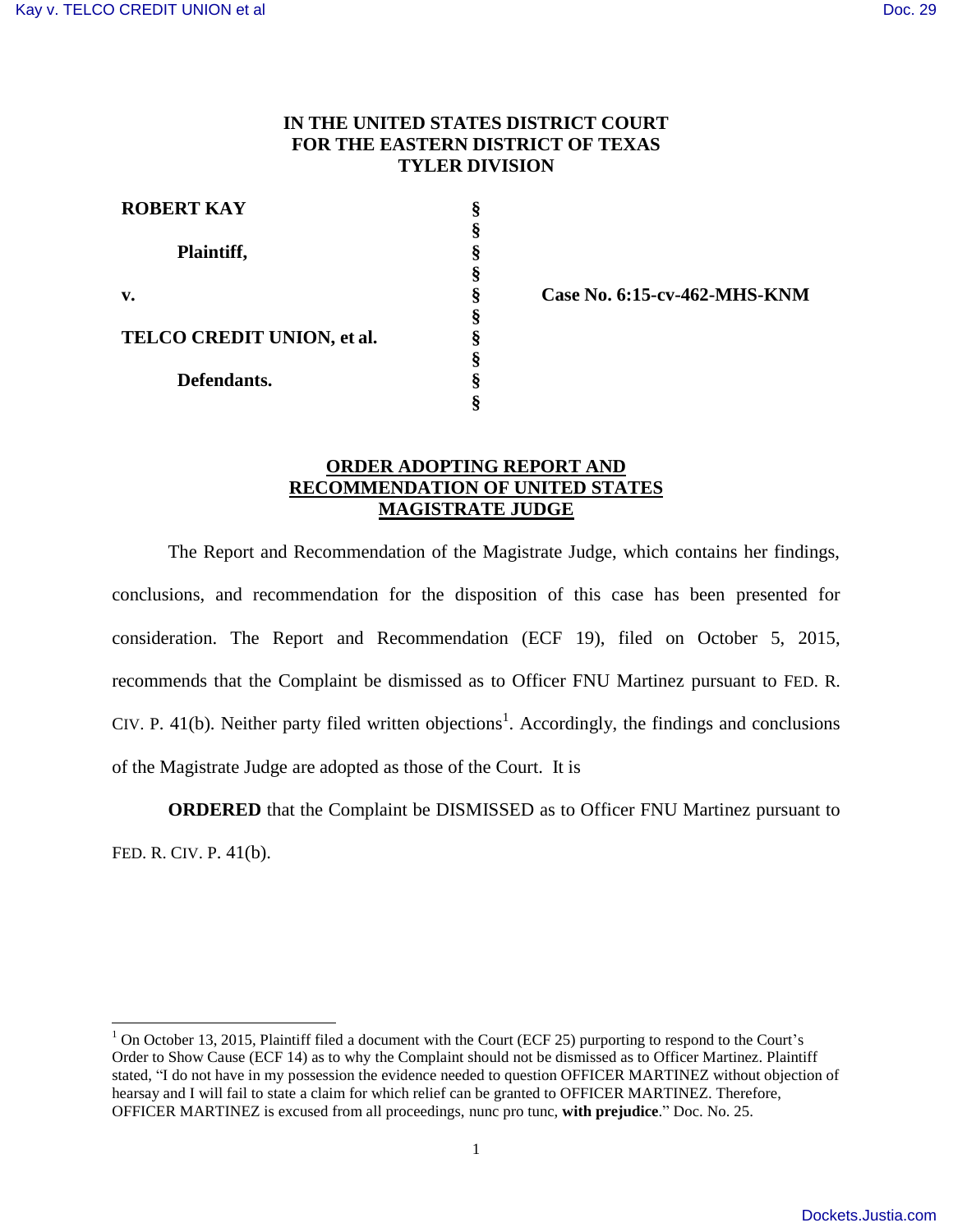## **IN THE UNITED STATES DISTRICT COURT FOR THE EASTERN DISTRICT OF TEXAS TYLER DIVISION**

| <b>ROBERT KAY</b>          |   |
|----------------------------|---|
| Plaintiff,                 |   |
|                            |   |
| v.                         |   |
|                            | 8 |
| TELCO CREDIT UNION, et al. |   |
|                            |   |
| Defendants.                | 8 |
|                            |   |

**§ Case No. 6:15-cv-462-MHS-KNM** 

## **ORDER ADOPTING REPORT AND RECOMMENDATION OF UNITED STATES MAGISTRATE JUDGE**

The Report and Recommendation of the Magistrate Judge, which contains her findings, conclusions, and recommendation for the disposition of this case has been presented for consideration. The Report and Recommendation (ECF 19), filed on October 5, 2015, recommends that the Complaint be dismissed as to Officer FNU Martinez pursuant to FED. R. CIV. P. 41(b). Neither party filed written objections<sup>1</sup>. Accordingly, the findings and conclusions of the Magistrate Judge are adopted as those of the Court. It is

**ORDERED** that the Complaint be DISMISSED as to Officer FNU Martinez pursuant to FED. R. CIV. P. 41(b).

<sup>&</sup>lt;sup>1</sup> On October 13, 2015, Plaintiff filed a document with the Court (ECF 25) purporting to respond to the Court's Order to Show Cause (ECF 14) as to why the Complaint should not be dismissed as to Officer Martinez. Plaintiff stated, "I do not have in my possession the evidence needed to question OFFICER MARTINEZ without objection of hearsay and I will fail to state a claim for which relief can be granted to OFFICER MARTINEZ. Therefore, OFFICER MARTINEZ is excused from all proceedings, nunc pro tunc, **with prejudice**." Doc. No. 25.